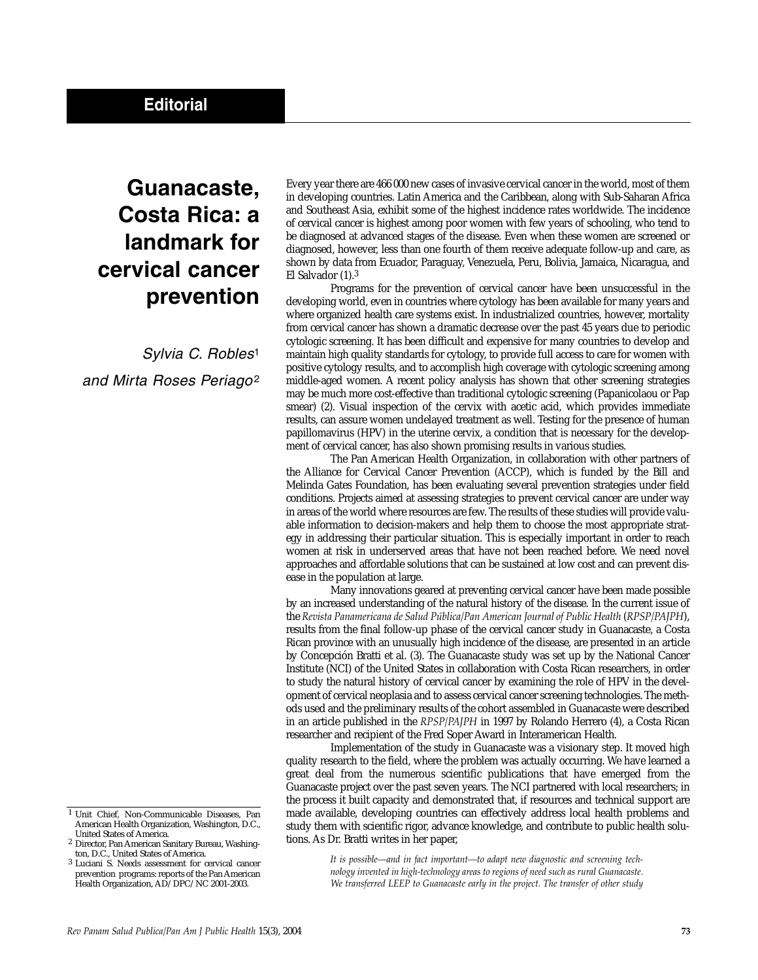## **Guanacaste, Costa Rica: a landmark for cervical cancer prevention**

*Sylvia C. Robles*<sup>1</sup> *and Mirta Roses Periago*<sup>2</sup> Every year there are 466 000 new cases of invasive cervical cancer in the world, most of them in developing countries. Latin America and the Caribbean, along with Sub-Saharan Africa and Southeast Asia, exhibit some of the highest incidence rates worldwide. The incidence of cervical cancer is highest among poor women with few years of schooling, who tend to be diagnosed at advanced stages of the disease. Even when these women are screened or diagnosed, however, less than one fourth of them receive adequate follow-up and care, as shown by data from Ecuador, Paraguay, Venezuela, Peru, Bolivia, Jamaica, Nicaragua, and El Salvador (1).3

Programs for the prevention of cervical cancer have been unsuccessful in the developing world, even in countries where cytology has been available for many years and where organized health care systems exist. In industrialized countries, however, mortality from cervical cancer has shown a dramatic decrease over the past 45 years due to periodic cytologic screening. It has been difficult and expensive for many countries to develop and maintain high quality standards for cytology, to provide full access to care for women with positive cytology results, and to accomplish high coverage with cytologic screening among middle-aged women. A recent policy analysis has shown that other screening strategies may be much more cost-effective than traditional cytologic screening (Papanicolaou or Pap smear) (2). Visual inspection of the cervix with acetic acid, which provides immediate results, can assure women undelayed treatment as well. Testing for the presence of human papillomavirus (HPV) in the uterine cervix, a condition that is necessary for the development of cervical cancer, has also shown promising results in various studies.

The Pan American Health Organization, in collaboration with other partners of the Alliance for Cervical Cancer Prevention (ACCP), which is funded by the Bill and Melinda Gates Foundation, has been evaluating several prevention strategies under field conditions. Projects aimed at assessing strategies to prevent cervical cancer are under way in areas of the world where resources are few. The results of these studies will provide valuable information to decision-makers and help them to choose the most appropriate strategy in addressing their particular situation. This is especially important in order to reach women at risk in underserved areas that have not been reached before. We need novel approaches and affordable solutions that can be sustained at low cost and can prevent disease in the population at large.

Many innovations geared at preventing cervical cancer have been made possible by an increased understanding of the natural history of the disease. In the current issue of the *Revista Panamericana de Salud Pública/Pan American Journal of Public Health* (*RPSP/PAJPH*), results from the final follow-up phase of the cervical cancer study in Guanacaste, a Costa Rican province with an unusually high incidence of the disease, are presented in an article by Concepción Bratti et al. (3). The Guanacaste study was set up by the National Cancer Institute (NCI) of the United States in collaboration with Costa Rican researchers, in order to study the natural history of cervical cancer by examining the role of HPV in the development of cervical neoplasia and to assess cervical cancer screening technologies. The methods used and the preliminary results of the cohort assembled in Guanacaste were described in an article published in the *RPSP/PAJPH* in 1997 by Rolando Herrero (4), a Costa Rican researcher and recipient of the Fred Soper Award in Interamerican Health.

Implementation of the study in Guanacaste was a visionary step. It moved high quality research to the field, where the problem was actually occurring. We have learned a great deal from the numerous scientific publications that have emerged from the Guanacaste project over the past seven years. The NCI partnered with local researchers; in the process it built capacity and demonstrated that, if resources and technical support are made available, developing countries can effectively address local health problems and study them with scientific rigor, advance knowledge, and contribute to public health solutions. As Dr. Bratti writes in her paper,

> *It is possible—and in fact important—to adapt new diagnostic and screening technology invented in high-technology areas to regions of need such as rural Guanacaste. We transferred LEEP to Guanacaste early in the project. The transfer of other study*

<sup>1</sup> Unit Chief, Non-Communicable Diseases, Pan American Health Organization, Washington, D.C., United States of America.

<sup>2</sup> Director, Pan American Sanitary Bureau, Washington, D.C., United States of America.

<sup>3</sup> Luciani S. Needs assessment for cervical cancer prevention programs: reports of the Pan American Health Organization, AD/DPC/NC 2001-2003.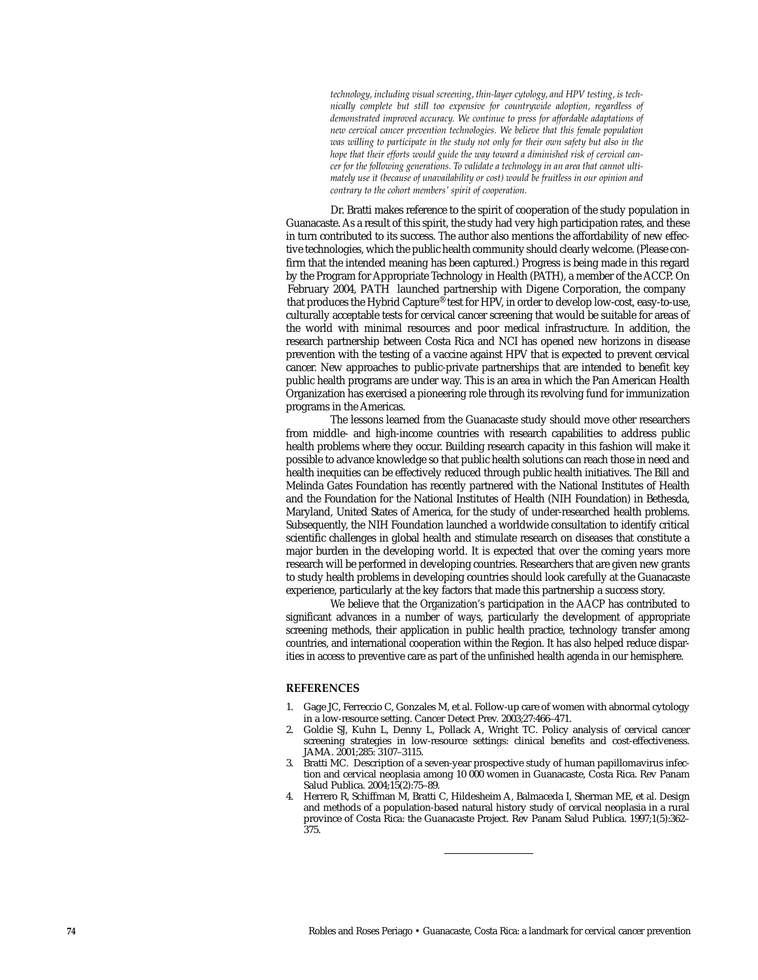*technology, including visual screening, thin-layer cytology, and HPV testing, is technically complete but still too expensive for countrywide adoption, regardless of demonstrated improved accuracy. We continue to press for affordable adaptations of new cervical cancer prevention technologies. We believe that this female population was willing to participate in the study not only for their own safety but also in the hope that their efforts would guide the way toward a diminished risk of cervical cancer for the following generations. To validate a technology in an area that cannot ultimately use it (because of unavailability or cost) would be fruitless in our opinion and contrary to the cohort members' spirit of cooperation.* 

Dr. Bratti makes reference to the spirit of cooperation of the study population in Guanacaste. As a result of this spirit, the study had very high participation rates, and these in turn contributed to its success. The author also mentions the affordability of new effective technologies, which the public health community should clearly welcome. (Please confirm that the intended meaning has been captured.) Progress is being made in this regard by the Program for Appropriate Technology in Health (PATH), a member of the ACCP. On February 2004, PATH launched partnership with Digene Corporation, the company that produces the Hybrid Capture® test for HPV, in order to develop low-cost, easy-to-use, culturally acceptable tests for cervical cancer screening that would be suitable for areas of the world with minimal resources and poor medical infrastructure. In addition, the research partnership between Costa Rica and NCI has opened new horizons in disease prevention with the testing of a vaccine against HPV that is expected to prevent cervical cancer. New approaches to public-private partnerships that are intended to benefit key public health programs are under way. This is an area in which the Pan American Health Organization has exercised a pioneering role through its revolving fund for immunization programs in the Americas.

The lessons learned from the Guanacaste study should move other researchers from middle- and high-income countries with research capabilities to address public health problems where they occur. Building research capacity in this fashion will make it possible to advance knowledge so that public health solutions can reach those in need and health inequities can be effectively reduced through public health initiatives. The Bill and Melinda Gates Foundation has recently partnered with the National Institutes of Health and the Foundation for the National Institutes of Health (NIH Foundation) in Bethesda, Maryland, United States of America, for the study of under-researched health problems. Subsequently, the NIH Foundation launched a worldwide consultation to identify critical scientific challenges in global health and stimulate research on diseases that constitute a major burden in the developing world. It is expected that over the coming years more research will be performed in developing countries. Researchers that are given new grants to study health problems in developing countries should look carefully at the Guanacaste experience, particularly at the key factors that made this partnership a success story.

We believe that the Organization's participation in the AACP has contributed to significant advances in a number of ways, particularly the development of appropriate screening methods, their application in public health practice, technology transfer among countries, and international cooperation within the Region. It has also helped reduce disparities in access to preventive care as part of the unfinished health agenda in our hemisphere.

## **REFERENCES**

- 1. Gage JC, Ferreccio C, Gonzales M, et al. Follow-up care of women with abnormal cytology in a low-resource setting. Cancer Detect Prev. 2003;27:466–471.
- 2. Goldie SJ, Kuhn L, Denny L, Pollack A, Wright TC. Policy analysis of cervical cancer screening strategies in low-resource settings: clinical benefits and cost-effectiveness. JAMA. 2001;285: 3107–3115.
- 3. Bratti MC. Description of a seven-year prospective study of human papillomavirus infection and cervical neoplasia among 10 000 women in Guanacaste, Costa Rica. Rev Panam Salud Publica. 2004;15(2):75–89.
- 4. Herrero R, Schiffman M, Bratti C, Hildesheim A, Balmaceda I, Sherman ME, et al. Design and methods of a population-based natural history study of cervical neoplasia in a rural province of Costa Rica: the Guanacaste Project. Rev Panam Salud Publica. 1997;1(5):362– 375.